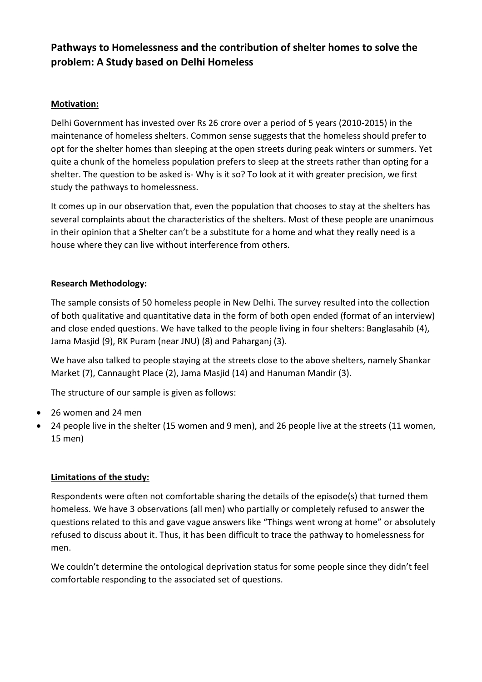# **Pathways to Homelessness and the contribution of shelter homes to solve the problem: A Study based on Delhi Homeless**

#### **Motivation:**

Delhi Government has invested over Rs 26 crore over a period of 5 years (2010-2015) in the maintenance of homeless shelters. Common sense suggests that the homeless should prefer to opt for the shelter homes than sleeping at the open streets during peak winters or summers. Yet quite a chunk of the homeless population prefers to sleep at the streets rather than opting for a shelter. The question to be asked is- Why is it so? To look at it with greater precision, we first study the pathways to homelessness.

It comes up in our observation that, even the population that chooses to stay at the shelters has several complaints about the characteristics of the shelters. Most of these people are unanimous in their opinion that a Shelter can't be a substitute for a home and what they really need is a house where they can live without interference from others.

#### **Research Methodology:**

The sample consists of 50 homeless people in New Delhi. The survey resulted into the collection of both qualitative and quantitative data in the form of both open ended (format of an interview) and close ended questions. We have talked to the people living in four shelters: Banglasahib (4), Jama Masjid (9), RK Puram (near JNU) (8) and Paharganj (3).

We have also talked to people staying at the streets close to the above shelters, namely Shankar Market (7), Cannaught Place (2), Jama Masjid (14) and Hanuman Mandir (3).

The structure of our sample is given as follows:

- 26 women and 24 men
- 24 people live in the shelter (15 women and 9 men), and 26 people live at the streets (11 women, 15 men)

### **Limitations of the study:**

Respondents were often not comfortable sharing the details of the episode(s) that turned them homeless. We have 3 observations (all men) who partially or completely refused to answer the questions related to this and gave vague answers like "Things went wrong at home" or absolutely refused to discuss about it. Thus, it has been difficult to trace the pathway to homelessness for men.

We couldn't determine the ontological deprivation status for some people since they didn't feel comfortable responding to the associated set of questions.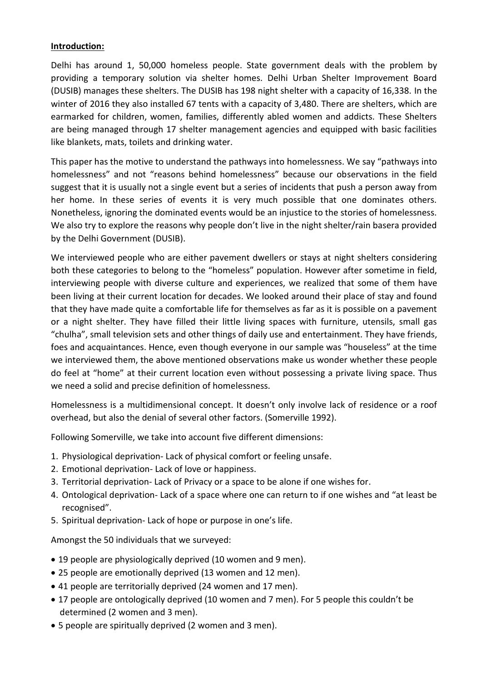#### **Introduction:**

Delhi has around 1, 50,000 homeless people. State government deals with the problem by providing a temporary solution via shelter homes. Delhi Urban Shelter Improvement Board (DUSIB) manages these shelters. The DUSIB has 198 night shelter with a capacity of 16,338. In the winter of 2016 they also installed 67 tents with a capacity of 3,480. There are shelters, which are earmarked for children, women, families, differently abled women and addicts. These Shelters are being managed through 17 shelter management agencies and equipped with basic facilities like blankets, mats, toilets and drinking water.

This paper has the motive to understand the pathways into homelessness. We say "pathways into homelessness" and not "reasons behind homelessness" because our observations in the field suggest that it is usually not a single event but a series of incidents that push a person away from her home. In these series of events it is very much possible that one dominates others. Nonetheless, ignoring the dominated events would be an injustice to the stories of homelessness. We also try to explore the reasons why people don't live in the night shelter/rain basera provided by the Delhi Government (DUSIB).

We interviewed people who are either pavement dwellers or stays at night shelters considering both these categories to belong to the "homeless" population. However after sometime in field, interviewing people with diverse culture and experiences, we realized that some of them have been living at their current location for decades. We looked around their place of stay and found that they have made quite a comfortable life for themselves as far as it is possible on a pavement or a night shelter. They have filled their little living spaces with furniture, utensils, small gas "chulha", small television sets and other things of daily use and entertainment. They have friends, foes and acquaintances. Hence, even though everyone in our sample was "houseless" at the time we interviewed them, the above mentioned observations make us wonder whether these people do feel at "home" at their current location even without possessing a private living space. Thus we need a solid and precise definition of homelessness.

Homelessness is a multidimensional concept. It doesn't only involve lack of residence or a roof overhead, but also the denial of several other factors. (Somerville 1992).

Following Somerville, we take into account five different dimensions:

- 1. Physiological deprivation- Lack of physical comfort or feeling unsafe.
- 2. Emotional deprivation- Lack of love or happiness.
- 3. Territorial deprivation- Lack of Privacy or a space to be alone if one wishes for.
- 4. Ontological deprivation- Lack of a space where one can return to if one wishes and "at least be recognised".
- 5. Spiritual deprivation- Lack of hope or purpose in one's life.

Amongst the 50 individuals that we surveyed:

- 19 people are physiologically deprived (10 women and 9 men).
- 25 people are emotionally deprived (13 women and 12 men).
- 41 people are territorially deprived (24 women and 17 men).
- 17 people are ontologically deprived (10 women and 7 men). For 5 people this couldn't be determined (2 women and 3 men).
- 5 people are spiritually deprived (2 women and 3 men).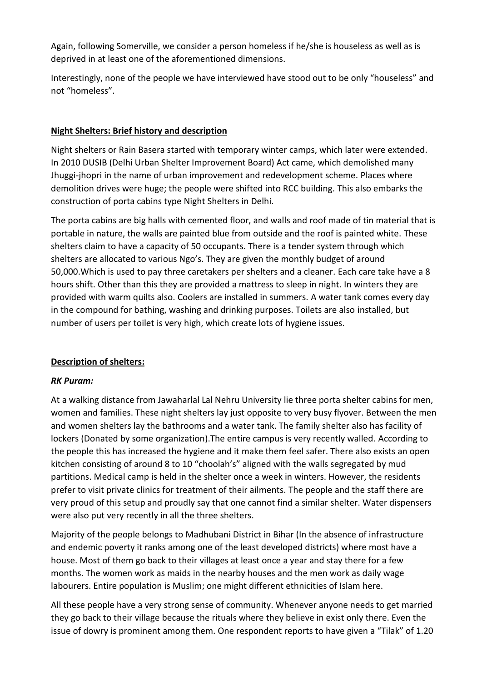Again, following Somerville, we consider a person homeless if he/she is houseless as well as is deprived in at least one of the aforementioned dimensions.

Interestingly, none of the people we have interviewed have stood out to be only "houseless" and not "homeless".

#### **Night Shelters: Brief history and description**

Night shelters or Rain Basera started with temporary winter camps, which later were extended. In 2010 DUSIB (Delhi Urban Shelter Improvement Board) Act came, which demolished many Jhuggi-jhopri in the name of urban improvement and redevelopment scheme. Places where demolition drives were huge; the people were shifted into RCC building. This also embarks the construction of porta cabins type Night Shelters in Delhi.

The porta cabins are big halls with cemented floor, and walls and roof made of tin material that is portable in nature, the walls are painted blue from outside and the roof is painted white. These shelters claim to have a capacity of 50 occupants. There is a tender system through which shelters are allocated to various Ngo's. They are given the monthly budget of around 50,000.Which is used to pay three caretakers per shelters and a cleaner. Each care take have a 8 hours shift. Other than this they are provided a mattress to sleep in night. In winters they are provided with warm quilts also. Coolers are installed in summers. A water tank comes every day in the compound for bathing, washing and drinking purposes. Toilets are also installed, but number of users per toilet is very high, which create lots of hygiene issues.

#### **Description of shelters:**

### *RK Puram:*

At a walking distance from Jawaharlal Lal Nehru University lie three porta shelter cabins for men, women and families. These night shelters lay just opposite to very busy flyover. Between the men and women shelters lay the bathrooms and a water tank. The family shelter also has facility of lockers (Donated by some organization).The entire campus is very recently walled. According to the people this has increased the hygiene and it make them feel safer. There also exists an open kitchen consisting of around 8 to 10 "choolah's" aligned with the walls segregated by mud partitions. Medical camp is held in the shelter once a week in winters. However, the residents prefer to visit private clinics for treatment of their ailments. The people and the staff there are very proud of this setup and proudly say that one cannot find a similar shelter. Water dispensers were also put very recently in all the three shelters.

Majority of the people belongs to Madhubani District in Bihar (In the absence of infrastructure and endemic poverty it ranks among one of the least developed districts) where most have a house. Most of them go back to their villages at least once a year and stay there for a few months. The women work as maids in the nearby houses and the men work as daily wage labourers. Entire population is Muslim; one might different ethnicities of Islam here.

All these people have a very strong sense of community. Whenever anyone needs to get married they go back to their village because the rituals where they believe in exist only there. Even the issue of dowry is prominent among them. One respondent reports to have given a "Tilak" of 1.20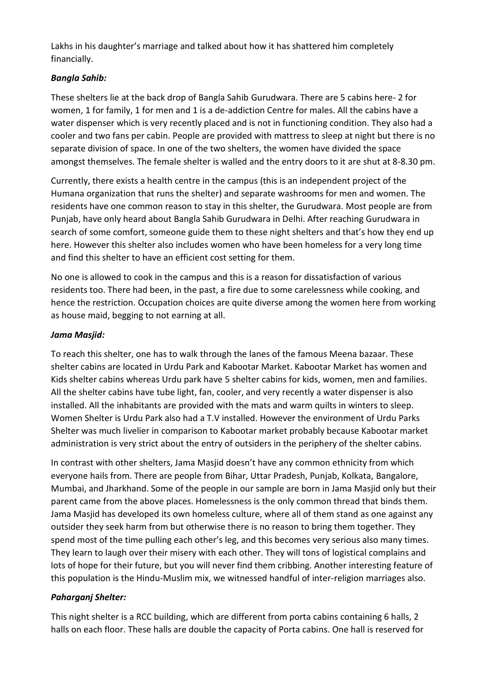Lakhs in his daughter's marriage and talked about how it has shattered him completely financially.

### *Bangla Sahib:*

These shelters lie at the back drop of Bangla Sahib Gurudwara. There are 5 cabins here- 2 for women, 1 for family, 1 for men and 1 is a de-addiction Centre for males. All the cabins have a water dispenser which is very recently placed and is not in functioning condition. They also had a cooler and two fans per cabin. People are provided with mattress to sleep at night but there is no separate division of space. In one of the two shelters, the women have divided the space amongst themselves. The female shelter is walled and the entry doors to it are shut at 8-8.30 pm.

Currently, there exists a health centre in the campus (this is an independent project of the Humana organization that runs the shelter) and separate washrooms for men and women. The residents have one common reason to stay in this shelter, the Gurudwara. Most people are from Punjab, have only heard about Bangla Sahib Gurudwara in Delhi. After reaching Gurudwara in search of some comfort, someone guide them to these night shelters and that's how they end up here. However this shelter also includes women who have been homeless for a very long time and find this shelter to have an efficient cost setting for them.

No one is allowed to cook in the campus and this is a reason for dissatisfaction of various residents too. There had been, in the past, a fire due to some carelessness while cooking, and hence the restriction. Occupation choices are quite diverse among the women here from working as house maid, begging to not earning at all.

### *Jama Masjid:*

To reach this shelter, one has to walk through the lanes of the famous Meena bazaar. These shelter cabins are located in Urdu Park and Kabootar Market. Kabootar Market has women and Kids shelter cabins whereas Urdu park have 5 shelter cabins for kids, women, men and families. All the shelter cabins have tube light, fan, cooler, and very recently a water dispenser is also installed. All the inhabitants are provided with the mats and warm quilts in winters to sleep. Women Shelter is Urdu Park also had a T.V installed. However the environment of Urdu Parks Shelter was much livelier in comparison to Kabootar market probably because Kabootar market administration is very strict about the entry of outsiders in the periphery of the shelter cabins.

In contrast with other shelters, Jama Masjid doesn't have any common ethnicity from which everyone hails from. There are people from Bihar, Uttar Pradesh, Punjab, Kolkata, Bangalore, Mumbai, and Jharkhand. Some of the people in our sample are born in Jama Masjid only but their parent came from the above places. Homelessness is the only common thread that binds them. Jama Masjid has developed its own homeless culture, where all of them stand as one against any outsider they seek harm from but otherwise there is no reason to bring them together. They spend most of the time pulling each other's leg, and this becomes very serious also many times. They learn to laugh over their misery with each other. They will tons of logistical complains and lots of hope for their future, but you will never find them cribbing. Another interesting feature of this population is the Hindu-Muslim mix, we witnessed handful of inter-religion marriages also.

### *Paharganj Shelter:*

This night shelter is a RCC building, which are different from porta cabins containing 6 halls, 2 halls on each floor. These halls are double the capacity of Porta cabins. One hall is reserved for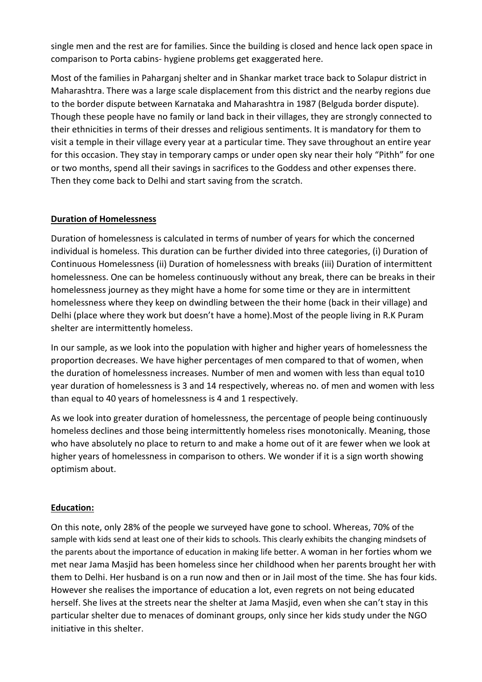single men and the rest are for families. Since the building is closed and hence lack open space in comparison to Porta cabins- hygiene problems get exaggerated here.

Most of the families in Paharganj shelter and in Shankar market trace back to Solapur district in Maharashtra. There was a large scale displacement from this district and the nearby regions due to the border dispute between Karnataka and Maharashtra in 1987 (Belguda border dispute). Though these people have no family or land back in their villages, they are strongly connected to their ethnicities in terms of their dresses and religious sentiments. It is mandatory for them to visit a temple in their village every year at a particular time. They save throughout an entire year for this occasion. They stay in temporary camps or under open sky near their holy "Pithh" for one or two months, spend all their savings in sacrifices to the Goddess and other expenses there. Then they come back to Delhi and start saving from the scratch.

#### **Duration of Homelessness**

Duration of homelessness is calculated in terms of number of years for which the concerned individual is homeless. This duration can be further divided into three categories, (i) Duration of Continuous Homelessness (ii) Duration of homelessness with breaks (iii) Duration of intermittent homelessness. One can be homeless continuously without any break, there can be breaks in their homelessness journey as they might have a home for some time or they are in intermittent homelessness where they keep on dwindling between the their home (back in their village) and Delhi (place where they work but doesn't have a home).Most of the people living in R.K Puram shelter are intermittently homeless.

In our sample, as we look into the population with higher and higher years of homelessness the proportion decreases. We have higher percentages of men compared to that of women, when the duration of homelessness increases. Number of men and women with less than equal to10 year duration of homelessness is 3 and 14 respectively, whereas no. of men and women with less than equal to 40 years of homelessness is 4 and 1 respectively.

As we look into greater duration of homelessness, the percentage of people being continuously homeless declines and those being intermittently homeless rises monotonically. Meaning, those who have absolutely no place to return to and make a home out of it are fewer when we look at higher years of homelessness in comparison to others. We wonder if it is a sign worth showing optimism about.

### **Education:**

On this note, only 28% of the people we surveyed have gone to school. Whereas, 70% of the sample with kids send at least one of their kids to schools. This clearly exhibits the changing mindsets of the parents about the importance of education in making life better. A woman in her forties whom we met near Jama Masjid has been homeless since her childhood when her parents brought her with them to Delhi. Her husband is on a run now and then or in Jail most of the time. She has four kids. However she realises the importance of education a lot, even regrets on not being educated herself. She lives at the streets near the shelter at Jama Masjid, even when she can't stay in this particular shelter due to menaces of dominant groups, only since her kids study under the NGO initiative in this shelter.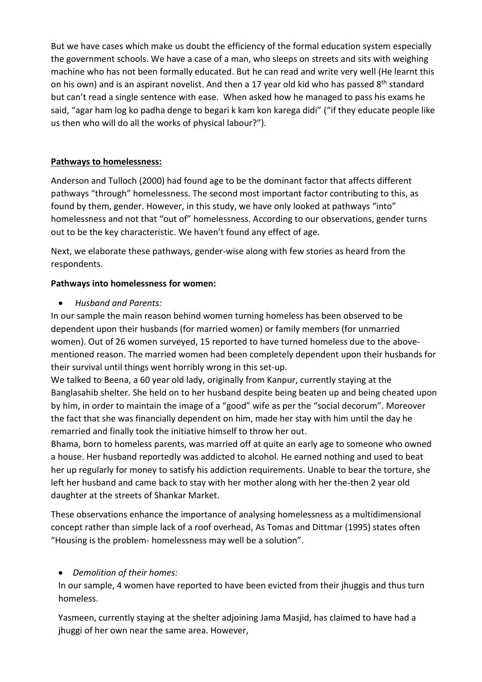But we have cases which make us doubt the efficiency of the formal education system especially the government schools. We have a case of a man, who sleeps on streets and sits with weighing machine who has not been formally educated. But he can read and write very well (He learnt this on his own) and is an aspirant novelist. And then a 17 year old kid who has passed 8<sup>th</sup> standard but can't read a single sentence with ease. When asked how he managed to pass his exams he said, "agar ham log ko padha denge to begari k kam kon karega didi" ("if they educate people like us then who will do all the works of physical labour?").

#### **Pathways to homelessness:**

Anderson and Tulloch (2000) had found age to be the dominant factor that affects different pathways "through" homelessness. The second most important factor contributing to this, as found by them, gender. However, in this study, we have only looked at pathways "into" homelessness and not that "out of" homelessness. According to our observations, gender turns out to be the key characteristic. We haven't found any effect of age.

Next, we elaborate these pathways, gender-wise along with few stories as heard from the respondents.

#### **Pathways into homelessness for women:**

*Husband and Parents:*

In our sample the main reason behind women turning homeless has been observed to be dependent upon their husbands (for married women) or family members (for unmarried women). Out of 26 women surveyed, 15 reported to have turned homeless due to the abovementioned reason. The married women had been completely dependent upon their husbands for their survival until things went horribly wrong in this set-up.

We talked to Beena, a 60 year old lady, originally from Kanpur, currently staying at the Banglasahib shelter. She held on to her husband despite being beaten up and being cheated upon by him, in order to maintain the image of a "good" wife as per the "social decorum". Moreover the fact that she was financially dependent on him, made her stay with him until the day he remarried and finally took the initiative himself to throw her out.

Bhama, born to homeless parents, was married off at quite an early age to someone who owned a house. Her husband reportedly was addicted to alcohol. He earned nothing and used to beat her up regularly for money to satisfy his addiction requirements. Unable to bear the torture, she left her husband and came back to stay with her mother along with her the-then 2 year old daughter at the streets of Shankar Market.

These observations enhance the importance of analysing homelessness as a multidimensional concept rather than simple lack of a roof overhead, As Tomas and Dittmar (1995) states often "Housing is the problem- homelessness may well be a solution".

### *Demolition of their homes:*

In our sample, 4 women have reported to have been evicted from their jhuggis and thus turn homeless.

Yasmeen, currently staying at the shelter adjoining Jama Masjid, has claimed to have had a jhuggi of her own near the same area. However,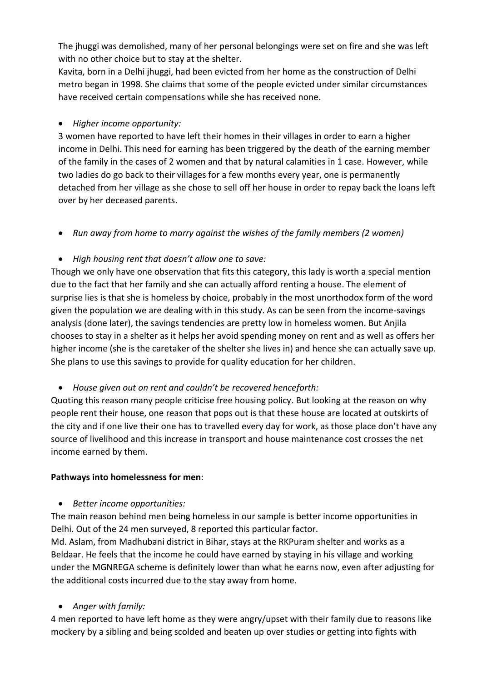The jhuggi was demolished, many of her personal belongings were set on fire and she was left with no other choice but to stay at the shelter.

Kavita, born in a Delhi jhuggi, had been evicted from her home as the construction of Delhi metro began in 1998. She claims that some of the people evicted under similar circumstances have received certain compensations while she has received none.

#### *Higher income opportunity:*

3 women have reported to have left their homes in their villages in order to earn a higher income in Delhi. This need for earning has been triggered by the death of the earning member of the family in the cases of 2 women and that by natural calamities in 1 case. However, while two ladies do go back to their villages for a few months every year, one is permanently detached from her village as she chose to sell off her house in order to repay back the loans left over by her deceased parents.

*Run away from home to marry against the wishes of the family members (2 women)*

#### *High housing rent that doesn't allow one to save:*

Though we only have one observation that fits this category, this lady is worth a special mention due to the fact that her family and she can actually afford renting a house. The element of surprise lies is that she is homeless by choice, probably in the most unorthodox form of the word given the population we are dealing with in this study. As can be seen from the income-savings analysis (done later), the savings tendencies are pretty low in homeless women. But Anjila chooses to stay in a shelter as it helps her avoid spending money on rent and as well as offers her higher income (she is the caretaker of the shelter she lives in) and hence she can actually save up. She plans to use this savings to provide for quality education for her children.

*House given out on rent and couldn't be recovered henceforth:*

Quoting this reason many people criticise free housing policy. But looking at the reason on why people rent their house, one reason that pops out is that these house are located at outskirts of the city and if one live their one has to travelled every day for work, as those place don't have any source of livelihood and this increase in transport and house maintenance cost crosses the net income earned by them.

#### **Pathways into homelessness for men**:

#### *Better income opportunities:*

The main reason behind men being homeless in our sample is better income opportunities in Delhi. Out of the 24 men surveyed, 8 reported this particular factor.

Md. Aslam, from Madhubani district in Bihar, stays at the RKPuram shelter and works as a Beldaar. He feels that the income he could have earned by staying in his village and working under the MGNREGA scheme is definitely lower than what he earns now, even after adjusting for the additional costs incurred due to the stay away from home.

### *Anger with family:*

4 men reported to have left home as they were angry/upset with their family due to reasons like mockery by a sibling and being scolded and beaten up over studies or getting into fights with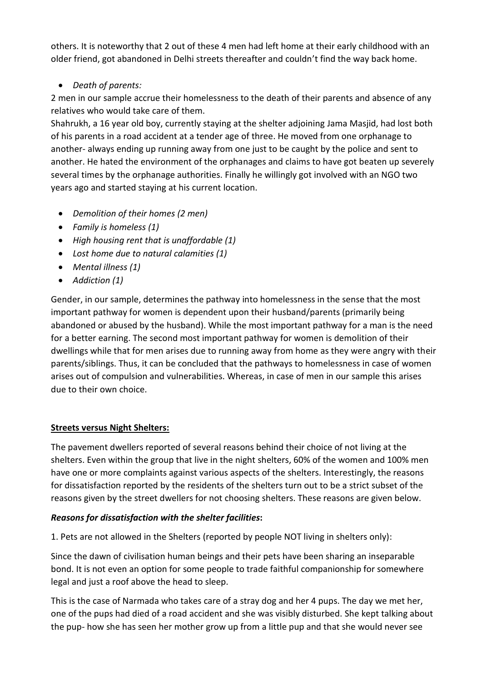others. It is noteworthy that 2 out of these 4 men had left home at their early childhood with an older friend, got abandoned in Delhi streets thereafter and couldn't find the way back home.

# *Death of parents:*

2 men in our sample accrue their homelessness to the death of their parents and absence of any relatives who would take care of them.

Shahrukh, a 16 year old boy, currently staying at the shelter adjoining Jama Masjid, had lost both of his parents in a road accident at a tender age of three. He moved from one orphanage to another- always ending up running away from one just to be caught by the police and sent to another. He hated the environment of the orphanages and claims to have got beaten up severely several times by the orphanage authorities. Finally he willingly got involved with an NGO two years ago and started staying at his current location.

- *Demolition of their homes (2 men)*
- *Family is homeless (1)*
- *High housing rent that is unaffordable (1)*
- *Lost home due to natural calamities (1)*
- *Mental illness (1)*
- *Addiction (1)*

Gender, in our sample, determines the pathway into homelessness in the sense that the most important pathway for women is dependent upon their husband/parents (primarily being abandoned or abused by the husband). While the most important pathway for a man is the need for a better earning. The second most important pathway for women is demolition of their dwellings while that for men arises due to running away from home as they were angry with their parents/siblings. Thus, it can be concluded that the pathways to homelessness in case of women arises out of compulsion and vulnerabilities. Whereas, in case of men in our sample this arises due to their own choice.

### **Streets versus Night Shelters:**

The pavement dwellers reported of several reasons behind their choice of not living at the shelters. Even within the group that live in the night shelters, 60% of the women and 100% men have one or more complaints against various aspects of the shelters. Interestingly, the reasons for dissatisfaction reported by the residents of the shelters turn out to be a strict subset of the reasons given by the street dwellers for not choosing shelters. These reasons are given below.

# *Reasons for dissatisfaction with the shelter facilities***:**

1. Pets are not allowed in the Shelters (reported by people NOT living in shelters only):

Since the dawn of civilisation human beings and their pets have been sharing an inseparable bond. It is not even an option for some people to trade faithful companionship for somewhere legal and just a roof above the head to sleep.

This is the case of Narmada who takes care of a stray dog and her 4 pups. The day we met her, one of the pups had died of a road accident and she was visibly disturbed. She kept talking about the pup- how she has seen her mother grow up from a little pup and that she would never see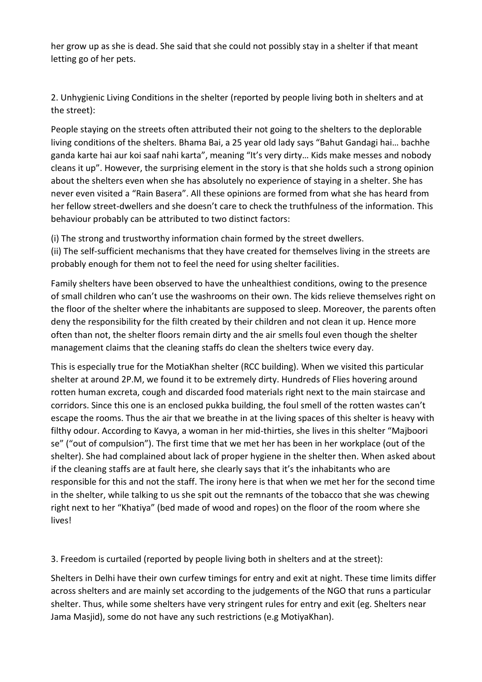her grow up as she is dead. She said that she could not possibly stay in a shelter if that meant letting go of her pets.

2. Unhygienic Living Conditions in the shelter (reported by people living both in shelters and at the street):

People staying on the streets often attributed their not going to the shelters to the deplorable living conditions of the shelters. Bhama Bai, a 25 year old lady says "Bahut Gandagi hai… bachhe ganda karte hai aur koi saaf nahi karta", meaning "It's very dirty… Kids make messes and nobody cleans it up". However, the surprising element in the story is that she holds such a strong opinion about the shelters even when she has absolutely no experience of staying in a shelter. She has never even visited a "Rain Basera". All these opinions are formed from what she has heard from her fellow street-dwellers and she doesn't care to check the truthfulness of the information. This behaviour probably can be attributed to two distinct factors:

(i) The strong and trustworthy information chain formed by the street dwellers.

(ii) The self-sufficient mechanisms that they have created for themselves living in the streets are probably enough for them not to feel the need for using shelter facilities.

Family shelters have been observed to have the unhealthiest conditions, owing to the presence of small children who can't use the washrooms on their own. The kids relieve themselves right on the floor of the shelter where the inhabitants are supposed to sleep. Moreover, the parents often deny the responsibility for the filth created by their children and not clean it up. Hence more often than not, the shelter floors remain dirty and the air smells foul even though the shelter management claims that the cleaning staffs do clean the shelters twice every day.

This is especially true for the MotiaKhan shelter (RCC building). When we visited this particular shelter at around 2P.M, we found it to be extremely dirty. Hundreds of Flies hovering around rotten human excreta, cough and discarded food materials right next to the main staircase and corridors. Since this one is an enclosed pukka building, the foul smell of the rotten wastes can't escape the rooms. Thus the air that we breathe in at the living spaces of this shelter is heavy with filthy odour. According to Kavya, a woman in her mid-thirties, she lives in this shelter "Majboori se" ("out of compulsion"). The first time that we met her has been in her workplace (out of the shelter). She had complained about lack of proper hygiene in the shelter then. When asked about if the cleaning staffs are at fault here, she clearly says that it's the inhabitants who are responsible for this and not the staff. The irony here is that when we met her for the second time in the shelter, while talking to us she spit out the remnants of the tobacco that she was chewing right next to her "Khatiya" (bed made of wood and ropes) on the floor of the room where she lives!

3. Freedom is curtailed (reported by people living both in shelters and at the street):

Shelters in Delhi have their own curfew timings for entry and exit at night. These time limits differ across shelters and are mainly set according to the judgements of the NGO that runs a particular shelter. Thus, while some shelters have very stringent rules for entry and exit (eg. Shelters near Jama Masjid), some do not have any such restrictions (e.g MotiyaKhan).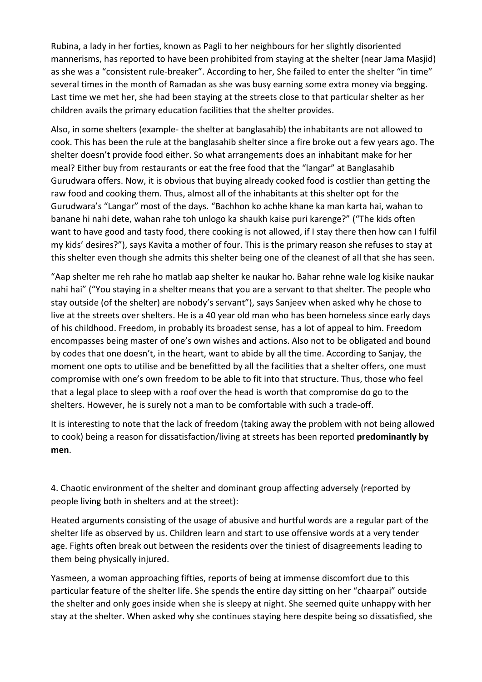Rubina, a lady in her forties, known as Pagli to her neighbours for her slightly disoriented mannerisms, has reported to have been prohibited from staying at the shelter (near Jama Masjid) as she was a "consistent rule-breaker". According to her, She failed to enter the shelter "in time" several times in the month of Ramadan as she was busy earning some extra money via begging. Last time we met her, she had been staying at the streets close to that particular shelter as her children avails the primary education facilities that the shelter provides.

Also, in some shelters (example- the shelter at banglasahib) the inhabitants are not allowed to cook. This has been the rule at the banglasahib shelter since a fire broke out a few years ago. The shelter doesn't provide food either. So what arrangements does an inhabitant make for her meal? Either buy from restaurants or eat the free food that the "langar" at Banglasahib Gurudwara offers. Now, it is obvious that buying already cooked food is costlier than getting the raw food and cooking them. Thus, almost all of the inhabitants at this shelter opt for the Gurudwara's "Langar" most of the days. "Bachhon ko achhe khane ka man karta hai, wahan to banane hi nahi dete, wahan rahe toh unlogo ka shaukh kaise puri karenge?" ("The kids often want to have good and tasty food, there cooking is not allowed, if I stay there then how can I fulfil my kids' desires?"), says Kavita a mother of four. This is the primary reason she refuses to stay at this shelter even though she admits this shelter being one of the cleanest of all that she has seen.

"Aap shelter me reh rahe ho matlab aap shelter ke naukar ho. Bahar rehne wale log kisike naukar nahi hai" ("You staying in a shelter means that you are a servant to that shelter. The people who stay outside (of the shelter) are nobody's servant"), says Sanjeev when asked why he chose to live at the streets over shelters. He is a 40 year old man who has been homeless since early days of his childhood. Freedom, in probably its broadest sense, has a lot of appeal to him. Freedom encompasses being master of one's own wishes and actions. Also not to be obligated and bound by codes that one doesn't, in the heart, want to abide by all the time. According to Sanjay, the moment one opts to utilise and be benefitted by all the facilities that a shelter offers, one must compromise with one's own freedom to be able to fit into that structure. Thus, those who feel that a legal place to sleep with a roof over the head is worth that compromise do go to the shelters. However, he is surely not a man to be comfortable with such a trade-off.

It is interesting to note that the lack of freedom (taking away the problem with not being allowed to cook) being a reason for dissatisfaction/living at streets has been reported **predominantly by men**.

4. Chaotic environment of the shelter and dominant group affecting adversely (reported by people living both in shelters and at the street):

Heated arguments consisting of the usage of abusive and hurtful words are a regular part of the shelter life as observed by us. Children learn and start to use offensive words at a very tender age. Fights often break out between the residents over the tiniest of disagreements leading to them being physically injured.

Yasmeen, a woman approaching fifties, reports of being at immense discomfort due to this particular feature of the shelter life. She spends the entire day sitting on her "chaarpai" outside the shelter and only goes inside when she is sleepy at night. She seemed quite unhappy with her stay at the shelter. When asked why she continues staying here despite being so dissatisfied, she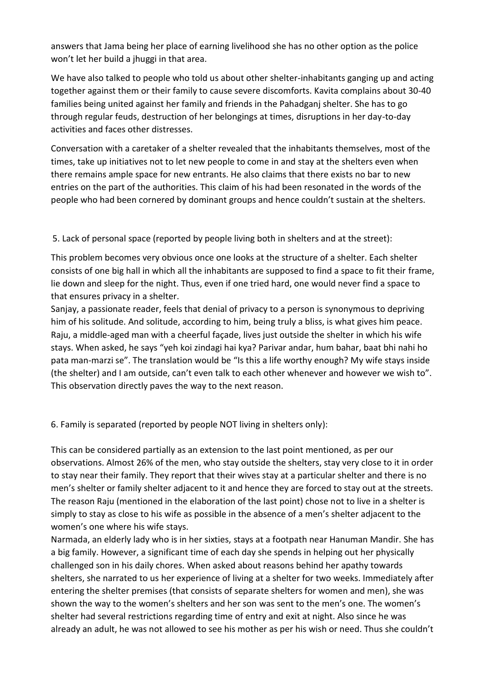answers that Jama being her place of earning livelihood she has no other option as the police won't let her build a jhuggi in that area.

We have also talked to people who told us about other shelter-inhabitants ganging up and acting together against them or their family to cause severe discomforts. Kavita complains about 30-40 families being united against her family and friends in the Pahadganj shelter. She has to go through regular feuds, destruction of her belongings at times, disruptions in her day-to-day activities and faces other distresses.

Conversation with a caretaker of a shelter revealed that the inhabitants themselves, most of the times, take up initiatives not to let new people to come in and stay at the shelters even when there remains ample space for new entrants. He also claims that there exists no bar to new entries on the part of the authorities. This claim of his had been resonated in the words of the people who had been cornered by dominant groups and hence couldn't sustain at the shelters.

5. Lack of personal space (reported by people living both in shelters and at the street):

This problem becomes very obvious once one looks at the structure of a shelter. Each shelter consists of one big hall in which all the inhabitants are supposed to find a space to fit their frame, lie down and sleep for the night. Thus, even if one tried hard, one would never find a space to that ensures privacy in a shelter.

Sanjay, a passionate reader, feels that denial of privacy to a person is synonymous to depriving him of his solitude. And solitude, according to him, being truly a bliss, is what gives him peace. Raju, a middle-aged man with a cheerful façade, lives just outside the shelter in which his wife stays. When asked, he says "yeh koi zindagi hai kya? Parivar andar, hum bahar, baat bhi nahi ho pata man-marzi se". The translation would be "Is this a life worthy enough? My wife stays inside (the shelter) and I am outside, can't even talk to each other whenever and however we wish to". This observation directly paves the way to the next reason.

6. Family is separated (reported by people NOT living in shelters only):

This can be considered partially as an extension to the last point mentioned, as per our observations. Almost 26% of the men, who stay outside the shelters, stay very close to it in order to stay near their family. They report that their wives stay at a particular shelter and there is no men's shelter or family shelter adjacent to it and hence they are forced to stay out at the streets. The reason Raju (mentioned in the elaboration of the last point) chose not to live in a shelter is simply to stay as close to his wife as possible in the absence of a men's shelter adjacent to the women's one where his wife stays.

Narmada, an elderly lady who is in her sixties, stays at a footpath near Hanuman Mandir. She has a big family. However, a significant time of each day she spends in helping out her physically challenged son in his daily chores. When asked about reasons behind her apathy towards shelters, she narrated to us her experience of living at a shelter for two weeks. Immediately after entering the shelter premises (that consists of separate shelters for women and men), she was shown the way to the women's shelters and her son was sent to the men's one. The women's shelter had several restrictions regarding time of entry and exit at night. Also since he was already an adult, he was not allowed to see his mother as per his wish or need. Thus she couldn't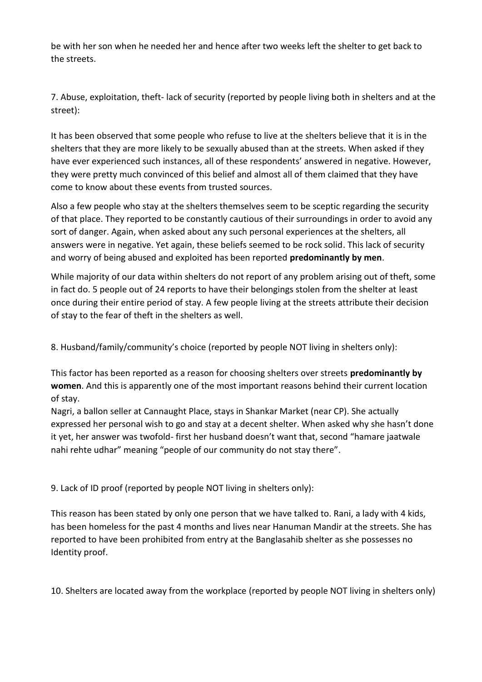be with her son when he needed her and hence after two weeks left the shelter to get back to the streets.

7. Abuse, exploitation, theft- lack of security (reported by people living both in shelters and at the street):

It has been observed that some people who refuse to live at the shelters believe that it is in the shelters that they are more likely to be sexually abused than at the streets. When asked if they have ever experienced such instances, all of these respondents' answered in negative. However, they were pretty much convinced of this belief and almost all of them claimed that they have come to know about these events from trusted sources.

Also a few people who stay at the shelters themselves seem to be sceptic regarding the security of that place. They reported to be constantly cautious of their surroundings in order to avoid any sort of danger. Again, when asked about any such personal experiences at the shelters, all answers were in negative. Yet again, these beliefs seemed to be rock solid. This lack of security and worry of being abused and exploited has been reported **predominantly by men**.

While majority of our data within shelters do not report of any problem arising out of theft, some in fact do. 5 people out of 24 reports to have their belongings stolen from the shelter at least once during their entire period of stay. A few people living at the streets attribute their decision of stay to the fear of theft in the shelters as well.

8. Husband/family/community's choice (reported by people NOT living in shelters only):

This factor has been reported as a reason for choosing shelters over streets **predominantly by women**. And this is apparently one of the most important reasons behind their current location of stay.

Nagri, a ballon seller at Cannaught Place, stays in Shankar Market (near CP). She actually expressed her personal wish to go and stay at a decent shelter. When asked why she hasn't done it yet, her answer was twofold- first her husband doesn't want that, second "hamare jaatwale nahi rehte udhar" meaning "people of our community do not stay there".

9. Lack of ID proof (reported by people NOT living in shelters only):

This reason has been stated by only one person that we have talked to. Rani, a lady with 4 kids, has been homeless for the past 4 months and lives near Hanuman Mandir at the streets. She has reported to have been prohibited from entry at the Banglasahib shelter as she possesses no Identity proof.

10. Shelters are located away from the workplace (reported by people NOT living in shelters only)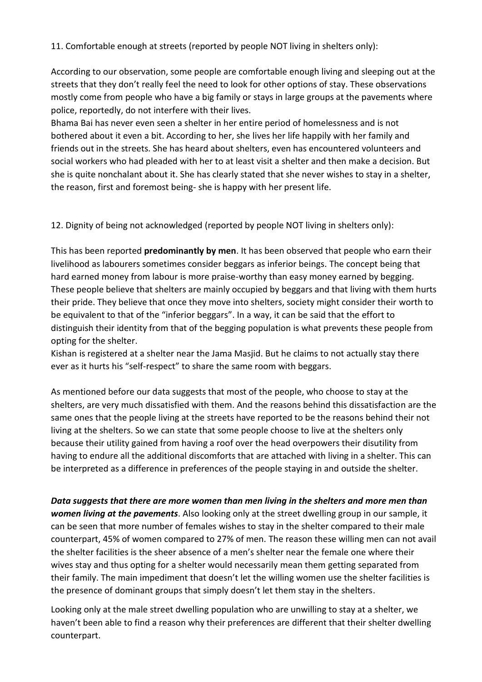11. Comfortable enough at streets (reported by people NOT living in shelters only):

According to our observation, some people are comfortable enough living and sleeping out at the streets that they don't really feel the need to look for other options of stay. These observations mostly come from people who have a big family or stays in large groups at the pavements where police, reportedly, do not interfere with their lives.

Bhama Bai has never even seen a shelter in her entire period of homelessness and is not bothered about it even a bit. According to her, she lives her life happily with her family and friends out in the streets. She has heard about shelters, even has encountered volunteers and social workers who had pleaded with her to at least visit a shelter and then make a decision. But she is quite nonchalant about it. She has clearly stated that she never wishes to stay in a shelter, the reason, first and foremost being- she is happy with her present life.

12. Dignity of being not acknowledged (reported by people NOT living in shelters only):

This has been reported **predominantly by men**. It has been observed that people who earn their livelihood as labourers sometimes consider beggars as inferior beings. The concept being that hard earned money from labour is more praise-worthy than easy money earned by begging. These people believe that shelters are mainly occupied by beggars and that living with them hurts their pride. They believe that once they move into shelters, society might consider their worth to be equivalent to that of the "inferior beggars". In a way, it can be said that the effort to distinguish their identity from that of the begging population is what prevents these people from opting for the shelter.

Kishan is registered at a shelter near the Jama Masjid. But he claims to not actually stay there ever as it hurts his "self-respect" to share the same room with beggars.

As mentioned before our data suggests that most of the people, who choose to stay at the shelters, are very much dissatisfied with them. And the reasons behind this dissatisfaction are the same ones that the people living at the streets have reported to be the reasons behind their not living at the shelters. So we can state that some people choose to live at the shelters only because their utility gained from having a roof over the head overpowers their disutility from having to endure all the additional discomforts that are attached with living in a shelter. This can be interpreted as a difference in preferences of the people staying in and outside the shelter.

*Data suggests that there are more women than men living in the shelters and more men than women living at the pavements*. Also looking only at the street dwelling group in our sample, it can be seen that more number of females wishes to stay in the shelter compared to their male counterpart, 45% of women compared to 27% of men. The reason these willing men can not avail the shelter facilities is the sheer absence of a men's shelter near the female one where their wives stay and thus opting for a shelter would necessarily mean them getting separated from their family. The main impediment that doesn't let the willing women use the shelter facilities is the presence of dominant groups that simply doesn't let them stay in the shelters.

Looking only at the male street dwelling population who are unwilling to stay at a shelter, we haven't been able to find a reason why their preferences are different that their shelter dwelling counterpart.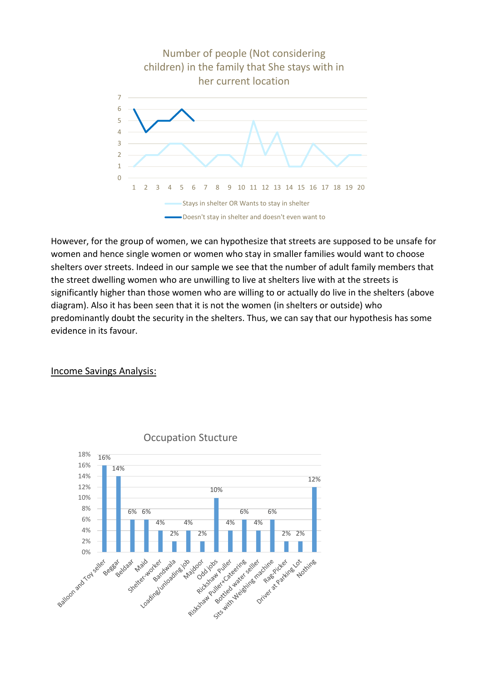

However, for the group of women, we can hypothesize that streets are supposed to be unsafe for women and hence single women or women who stay in smaller families would want to choose shelters over streets. Indeed in our sample we see that the number of adult family members that the street dwelling women who are unwilling to live at shelters live with at the streets is significantly higher than those women who are willing to or actually do live in the shelters (above diagram). Also it has been seen that it is not the women (in shelters or outside) who predominantly doubt the security in the shelters. Thus, we can say that our hypothesis has some evidence in its favour.

#### Income Savings Analysis:



#### Occupation Stucture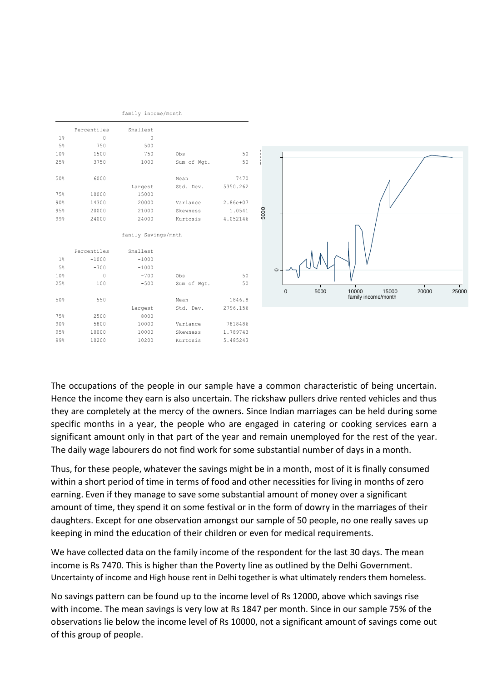|                |             | family income/month |             |            |
|----------------|-------------|---------------------|-------------|------------|
|                | Percentiles | Smallest            |             |            |
| 1 <sup>°</sup> | 0           | 0                   |             |            |
| 5%             | 750         | 500                 |             |            |
| 10%            | 1500        | 750                 | Obs         | 50         |
| 25%            | 3750        | 1000                | Sum of Wqt. | 50         |
| 50%            | 6000        |                     | Mean        | 7470       |
|                |             | Largest             | Std. Dev.   | 5350.262   |
| 75%            | 10000       | 15000               |             |            |
| 90%            | 14300       | 20000               | Variance    | $2.86e+07$ |
| 95%            | 20000       | 21000               | Skewness    | 1.0541     |
| 99%            | 24000       | 24000               | Kurtosis    | 4.052146   |
|                |             | fanily Savings/mnth |             |            |
|                | Percentiles | Smallest            |             |            |
| 1%             | $-1000$     | $-1000$             |             |            |
| 5%             | $-700$      | $-1000$             |             |            |
| 10%            | $\Omega$    | $-700$              | Obs         | 50         |
| 25%            | 100         | $-500$              | Sum of Wqt. | 50         |
| 50%            | 550         |                     | Mean        | 1846.8     |
|                |             |                     |             |            |
|                |             | Largest             | Std. Dev.   | 2796.156   |
| 75%            | 2500        | 8000                |             |            |
| 90%            | 5800        | 10000               | Variance    | 7818486    |
| 95%            | 10000       | 10000               | Skewness    | 1.789743   |



The occupations of the people in our sample have a common characteristic of being uncertain. Hence the income they earn is also uncertain. The rickshaw pullers drive rented vehicles and thus they are completely at the mercy of the owners. Since Indian marriages can be held during some specific months in a year, the people who are engaged in catering or cooking services earn a significant amount only in that part of the year and remain unemployed for the rest of the year. The daily wage labourers do not find work for some substantial number of days in a month.

Thus, for these people, whatever the savings might be in a month, most of it is finally consumed within a short period of time in terms of food and other necessities for living in months of zero earning. Even if they manage to save some substantial amount of money over a significant amount of time, they spend it on some festival or in the form of dowry in the marriages of their daughters. Except for one observation amongst our sample of 50 people, no one really saves up keeping in mind the education of their children or even for medical requirements.

We have collected data on the family income of the respondent for the last 30 days. The mean income is Rs 7470. This is higher than the Poverty line as outlined by the Delhi Government. Uncertainty of income and High house rent in Delhi together is what ultimately renders them homeless.

No savings pattern can be found up to the income level of Rs 12000, above which savings rise with income. The mean savings is very low at Rs 1847 per month. Since in our sample 75% of the observations lie below the income level of Rs 10000, not a significant amount of savings come out of this group of people.